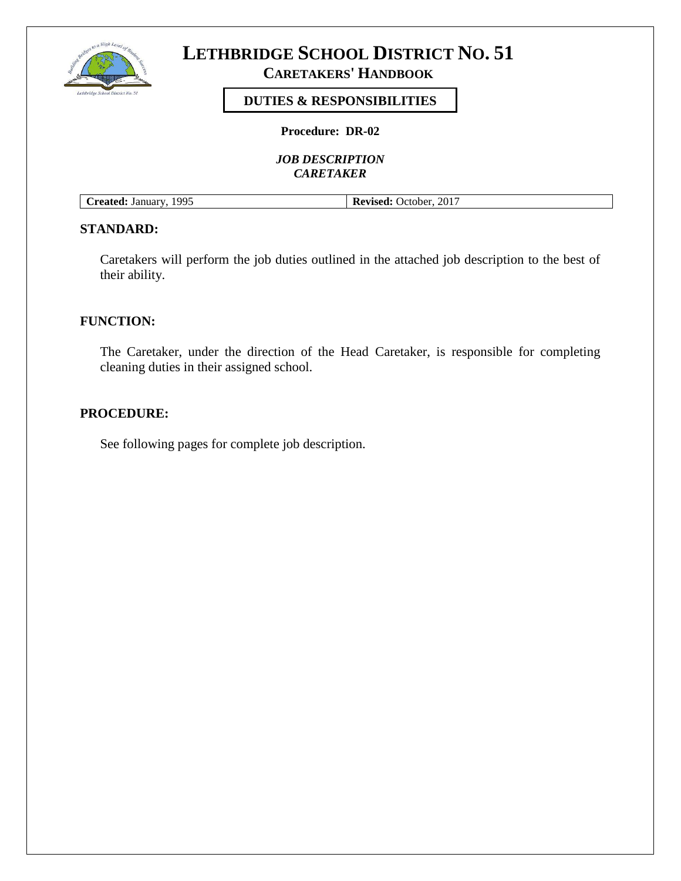

# **CARETAKERS' HANDBOOK**

# **DUTIES & RESPONSIBILITIES**

**Procedure: DR-02**

*JOB DESCRIPTION CARETAKER*

| Created: January, 1995 | <b>Revised:</b> October, 2017 |
|------------------------|-------------------------------|

## **STANDARD:**

Caretakers will perform the job duties outlined in the attached job description to the best of their ability.

#### **FUNCTION:**

The Caretaker, under the direction of the Head Caretaker, is responsible for completing cleaning duties in their assigned school.

#### **PROCEDURE:**

See following pages for complete job description.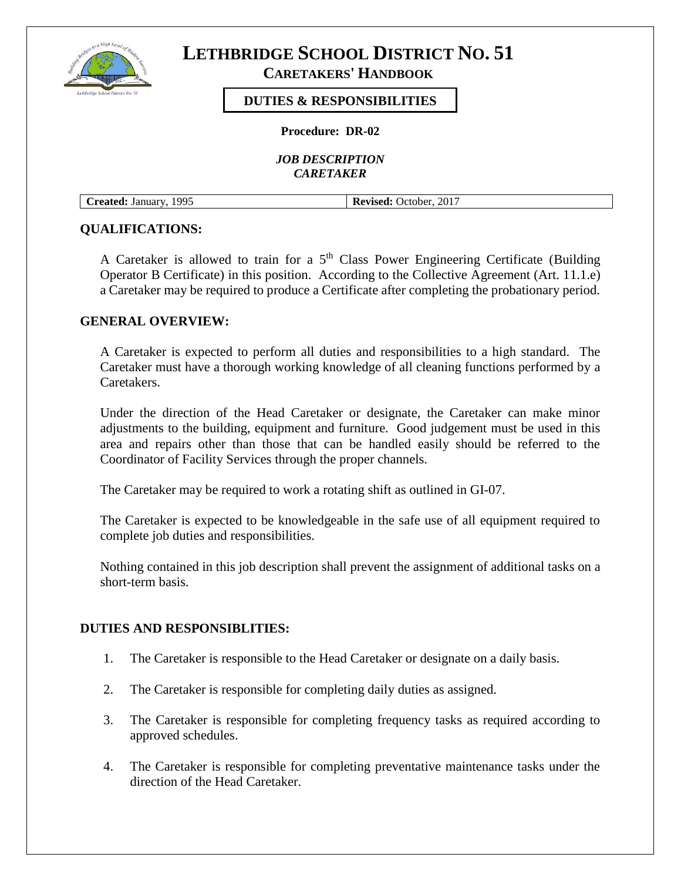

**CARETAKERS' HANDBOOK**

## **DUTIES & RESPONSIBILITIES**

**Procedure: DR-02**

*JOB DESCRIPTION CARETAKER*

**Created:** January, 1995 **Revised:** October, 2017

### **QUALIFICATIONS:**

A Caretaker is allowed to train for a  $5<sup>th</sup>$  Class Power Engineering Certificate (Building Operator B Certificate) in this position. According to the Collective Agreement (Art. 11.1.e) a Caretaker may be required to produce a Certificate after completing the probationary period.

## **GENERAL OVERVIEW:**

A Caretaker is expected to perform all duties and responsibilities to a high standard. The Caretaker must have a thorough working knowledge of all cleaning functions performed by a Caretakers.

Under the direction of the Head Caretaker or designate, the Caretaker can make minor adjustments to the building, equipment and furniture. Good judgement must be used in this area and repairs other than those that can be handled easily should be referred to the Coordinator of Facility Services through the proper channels.

The Caretaker may be required to work a rotating shift as outlined in GI-07.

The Caretaker is expected to be knowledgeable in the safe use of all equipment required to complete job duties and responsibilities.

Nothing contained in this job description shall prevent the assignment of additional tasks on a short-term basis.

### **DUTIES AND RESPONSIBLITIES:**

- 1. The Caretaker is responsible to the Head Caretaker or designate on a daily basis.
- 2. The Caretaker is responsible for completing daily duties as assigned.
- 3. The Caretaker is responsible for completing frequency tasks as required according to approved schedules.
- 4. The Caretaker is responsible for completing preventative maintenance tasks under the direction of the Head Caretaker.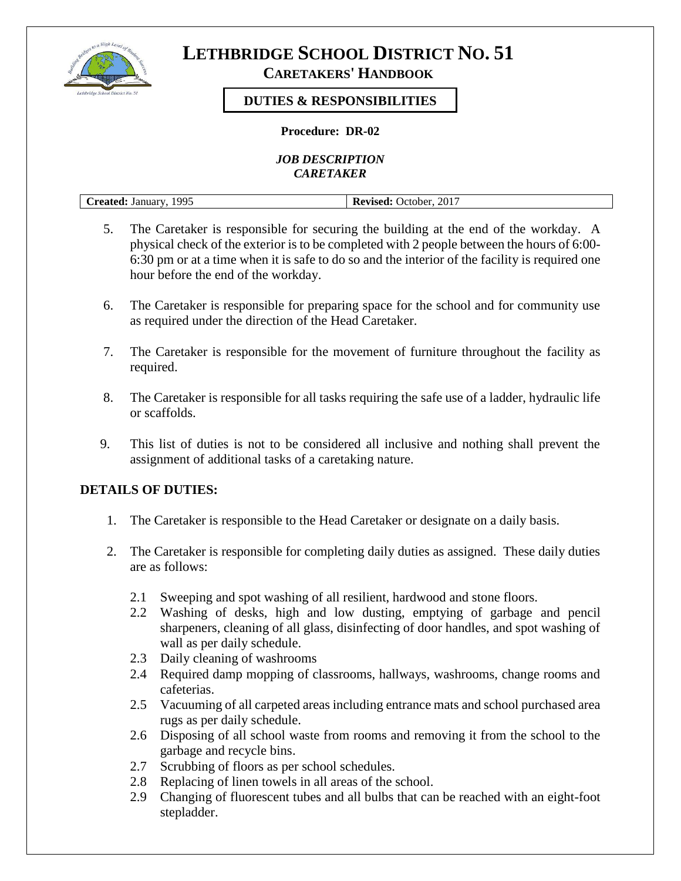

# **CARETAKERS' HANDBOOK**

# **DUTIES & RESPONSIBILITIES**

### **Procedure: DR-02**

*JOB DESCRIPTION CARETAKER*

| 1995<br>January<br>'raatad' | 2017<br>. )ctober<br>_____<br>. |
|-----------------------------|---------------------------------|

- 5. The Caretaker is responsible for securing the building at the end of the workday. A physical check of the exterior is to be completed with 2 people between the hours of 6:00- 6:30 pm or at a time when it is safe to do so and the interior of the facility is required one hour before the end of the workday.
- 6. The Caretaker is responsible for preparing space for the school and for community use as required under the direction of the Head Caretaker.
- 7. The Caretaker is responsible for the movement of furniture throughout the facility as required.
- 8. The Caretaker is responsible for all tasks requiring the safe use of a ladder, hydraulic life or scaffolds.
- 9. This list of duties is not to be considered all inclusive and nothing shall prevent the assignment of additional tasks of a caretaking nature.

# **DETAILS OF DUTIES:**

- 1. The Caretaker is responsible to the Head Caretaker or designate on a daily basis.
- 2. The Caretaker is responsible for completing daily duties as assigned. These daily duties are as follows:
	- 2.1 Sweeping and spot washing of all resilient, hardwood and stone floors.
	- 2.2 Washing of desks, high and low dusting, emptying of garbage and pencil sharpeners, cleaning of all glass, disinfecting of door handles, and spot washing of wall as per daily schedule.
	- 2.3 Daily cleaning of washrooms
	- 2.4 Required damp mopping of classrooms, hallways, washrooms, change rooms and cafeterias.
	- 2.5 Vacuuming of all carpeted areas including entrance mats and school purchased area rugs as per daily schedule.
	- 2.6 Disposing of all school waste from rooms and removing it from the school to the garbage and recycle bins.
	- 2.7 Scrubbing of floors as per school schedules.
	- 2.8 Replacing of linen towels in all areas of the school.
	- 2.9 Changing of fluorescent tubes and all bulbs that can be reached with an eight-foot stepladder.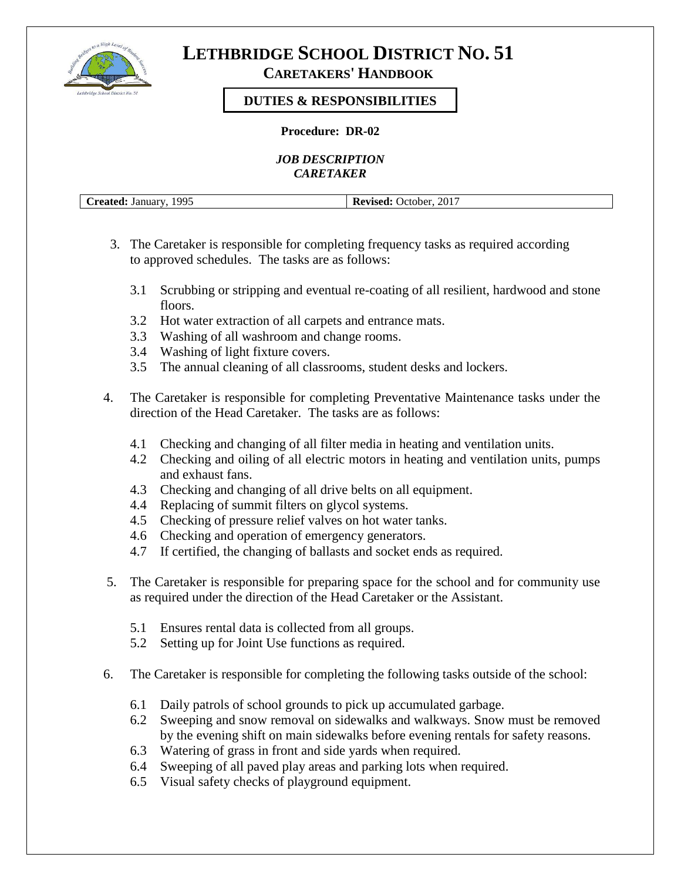

# **CARETAKERS' HANDBOOK**

# **DUTIES & RESPONSIBILITIES**

#### **Procedure: DR-02**

*JOB DESCRIPTION CARETAKER*

| 1995<br>reated:<br>January<br>u | 2017<br>Revised:<br>.)ctober<br>K)<br>718.GU |
|---------------------------------|----------------------------------------------|

- 3. The Caretaker is responsible for completing frequency tasks as required according to approved schedules. The tasks are as follows:
	- 3.1 Scrubbing or stripping and eventual re-coating of all resilient, hardwood and stone floors.
	- 3.2 Hot water extraction of all carpets and entrance mats.
	- 3.3 Washing of all washroom and change rooms.
	- 3.4 Washing of light fixture covers.
	- 3.5 The annual cleaning of all classrooms, student desks and lockers.
- 4. The Caretaker is responsible for completing Preventative Maintenance tasks under the direction of the Head Caretaker. The tasks are as follows:
	- 4.1 Checking and changing of all filter media in heating and ventilation units.
	- 4.2 Checking and oiling of all electric motors in heating and ventilation units, pumps and exhaust fans.
	- 4.3 Checking and changing of all drive belts on all equipment.
	- 4.4 Replacing of summit filters on glycol systems.
	- 4.5 Checking of pressure relief valves on hot water tanks.
	- 4.6 Checking and operation of emergency generators.
	- 4.7 If certified, the changing of ballasts and socket ends as required.
- 5. The Caretaker is responsible for preparing space for the school and for community use as required under the direction of the Head Caretaker or the Assistant.
	- 5.1 Ensures rental data is collected from all groups.
	- 5.2 Setting up for Joint Use functions as required.
- 6. The Caretaker is responsible for completing the following tasks outside of the school:
	- 6.1 Daily patrols of school grounds to pick up accumulated garbage.
	- 6.2 Sweeping and snow removal on sidewalks and walkways. Snow must be removed by the evening shift on main sidewalks before evening rentals for safety reasons.
	- 6.3 Watering of grass in front and side yards when required.
	- 6.4 Sweeping of all paved play areas and parking lots when required.
	- 6.5 Visual safety checks of playground equipment.